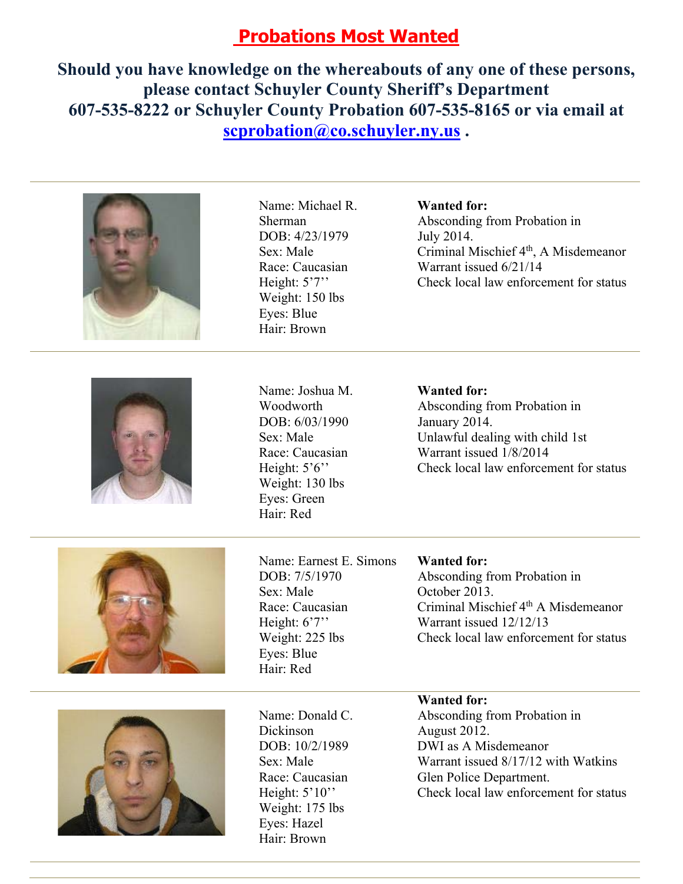# **Probations Most Wanted**

**Should you have knowledge on the whereabouts of any one of these persons, please contact Schuyler County Sheriff's Department 607-535-8222 or Schuyler County Probation 607-535-8165 or via email at scprobation@co.schuyler.ny.us .** 





Name: Michael R. Sherman DOB: 4/23/1979 Sex: Male Race: Caucasian Height: 5'7" Weight: 150 lbs Eyes: Blue Hair: Brown

Name: Joshua M. Woodworth DOB: 6/03/1990 Sex: Male Race: Caucasian Height: 5'6" Weight: 130 lbs Eyes: Green Hair: Red

#### **Wanted for:**

Absconding from Probation in July 2014. Criminal Mischief 4<sup>th</sup>, A Misdemeanor Warrant issued 6/21/14 Check local law enforcement for status

#### **Wanted for:**

Absconding from Probation in January 2014. Unlawful dealing with child 1st Warrant issued 1/8/2014 Check local law enforcement for status





### **Wanted for:**

Absconding from Probation in October 2013. Criminal Mischief  $4<sup>th</sup>$  A Misdemeanor Warrant issued 12/12/13 Check local law enforcement for status



Name: Donald C. Dickinson DOB: 10/2/1989 Sex: Male Race: Caucasian Height:  $5'10''$ Weight: 175 lbs Eyes: Hazel Hair: Brown

## **Wanted for:**

Absconding from Probation in August 2012. DWI as A Misdemeanor Warrant issued 8/17/12 with Watkins Glen Police Department. Check local law enforcement for status